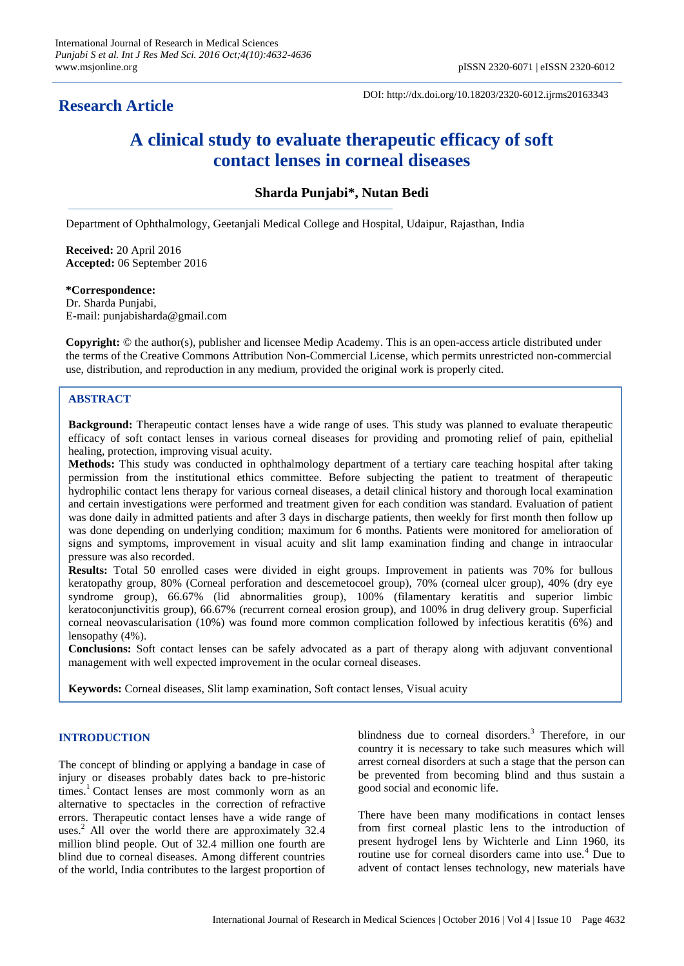# **Research Article**

DOI: http://dx.doi.org/10.18203/2320-6012.ijrms20163343

# **A clinical study to evaluate therapeutic efficacy of soft contact lenses in corneal diseases**

**Sharda Punjabi\*, Nutan Bedi**

Department of Ophthalmology, Geetanjali Medical College and Hospital, Udaipur, Rajasthan, India

**Received:** 20 April 2016 **Accepted:** 06 September 2016

**\*Correspondence:** Dr. Sharda Punjabi, E-mail: punjabisharda@gmail.com

**Copyright:** © the author(s), publisher and licensee Medip Academy. This is an open-access article distributed under the terms of the Creative Commons Attribution Non-Commercial License, which permits unrestricted non-commercial use, distribution, and reproduction in any medium, provided the original work is properly cited.

# **ABSTRACT**

**Background:** Therapeutic contact lenses have a wide range of uses. This study was planned to evaluate therapeutic efficacy of soft contact lenses in various corneal diseases for providing and promoting relief of pain, epithelial healing, protection, improving visual acuity.

**Methods:** This study was conducted in ophthalmology department of a tertiary care teaching hospital after taking permission from the institutional ethics committee. Before subjecting the patient to treatment of therapeutic hydrophilic contact lens therapy for various corneal diseases, a detail clinical history and thorough local examination and certain investigations were performed and treatment given for each condition was standard. Evaluation of patient was done daily in admitted patients and after 3 days in discharge patients, then weekly for first month then follow up was done depending on underlying condition; maximum for 6 months. Patients were monitored for amelioration of signs and symptoms, improvement in visual acuity and slit lamp examination finding and change in intraocular pressure was also recorded.

**Results:** Total 50 enrolled cases were divided in eight groups. Improvement in patients was 70% for bullous keratopathy group, 80% (Corneal perforation and descemetocoel group), 70% (corneal ulcer group), 40% (dry eye syndrome group), 66.67% (lid abnormalities group), 100% (filamentary keratitis and superior limbic keratoconjunctivitis group), 66.67% (recurrent corneal erosion group), and 100% in drug delivery group. Superficial corneal neovascularisation (10%) was found more common complication followed by infectious keratitis (6%) and lensopathy (4%).

**Conclusions:** Soft contact lenses can be safely advocated as a part of therapy along with adjuvant conventional management with well expected improvement in the ocular corneal diseases.

**Keywords:** Corneal diseases, Slit lamp examination, Soft contact lenses, Visual acuity

# **INTRODUCTION**

The concept of blinding or applying a bandage in case of injury or diseases probably dates back to pre-historic times.<sup>1</sup> Contact lenses are most commonly worn as an alternative to spectacles in the correction of refractive errors. Therapeutic contact lenses have a wide range of uses.<sup>2</sup> All over the world there are approximately 32.4 million blind people. Out of 32.4 million one fourth are blind due to corneal diseases. Among different countries of the world, India contributes to the largest proportion of blindness due to corneal disorders.<sup>3</sup> Therefore, in our country it is necessary to take such measures which will arrest corneal disorders at such a stage that the person can be prevented from becoming blind and thus sustain a good social and economic life.

There have been many modifications in contact lenses from first corneal plastic lens to the introduction of present hydrogel lens by Wichterle and Linn 1960, its routine use for corneal disorders came into use.<sup>4</sup> Due to advent of contact lenses technology, new materials have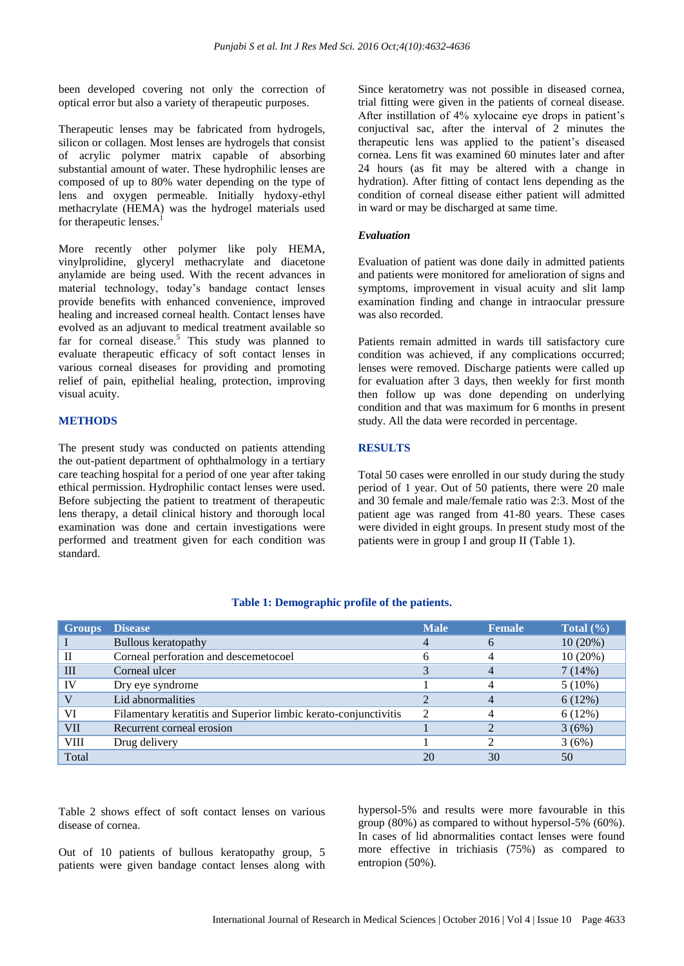been developed covering not only the correction of optical error but also a variety of therapeutic purposes.

Therapeutic lenses may be fabricated from hydrogels, silicon or collagen. Most lenses are hydrogels that consist of acrylic polymer matrix capable of absorbing substantial amount of water. These hydrophilic lenses are composed of up to 80% water depending on the type of lens and oxygen permeable. Initially hydoxy-ethyl methacrylate (HEMA) was the hydrogel materials used for therapeutic lenses.<sup>1</sup>

More recently other polymer like poly HEMA, vinylprolidine, glyceryl methacrylate and diacetone anylamide are being used. With the recent advances in material technology, today's bandage contact lenses provide benefits with enhanced convenience, improved healing and increased corneal health. Contact lenses have evolved as an adjuvant to medical treatment available so far for corneal disease.<sup>5</sup> This study was planned to evaluate therapeutic efficacy of soft contact lenses in various corneal diseases for providing and promoting relief of pain, epithelial healing, protection, improving visual acuity.

#### **METHODS**

The present study was conducted on patients attending the out-patient department of ophthalmology in a tertiary care teaching hospital for a period of one year after taking ethical permission. Hydrophilic contact lenses were used. Before subjecting the patient to treatment of therapeutic lens therapy, a detail clinical history and thorough local examination was done and certain investigations were performed and treatment given for each condition was standard.

Since keratometry was not possible in diseased cornea, trial fitting were given in the patients of corneal disease. After instillation of 4% xylocaine eye drops in patient's conjuctival sac, after the interval of 2 minutes the therapeutic lens was applied to the patient's diseased cornea. Lens fit was examined 60 minutes later and after 24 hours (as fit may be altered with a change in hydration). After fitting of contact lens depending as the condition of corneal disease either patient will admitted in ward or may be discharged at same time.

### *Evaluation*

Evaluation of patient was done daily in admitted patients and patients were monitored for amelioration of signs and symptoms, improvement in visual acuity and slit lamp examination finding and change in intraocular pressure was also recorded.

Patients remain admitted in wards till satisfactory cure condition was achieved, if any complications occurred; lenses were removed. Discharge patients were called up for evaluation after 3 days, then weekly for first month then follow up was done depending on underlying condition and that was maximum for 6 months in present study. All the data were recorded in percentage.

# **RESULTS**

Total 50 cases were enrolled in our study during the study period of 1 year. Out of 50 patients, there were 20 male and 30 female and male/female ratio was 2:3. Most of the patient age was ranged from 41-80 years. These cases were divided in eight groups. In present study most of the patients were in group I and group II (Table 1).

| <b>Groups</b> | <b>Disease</b>                                                  | <b>Male</b>    | <b>Female</b> | Total $(\% )$ |
|---------------|-----------------------------------------------------------------|----------------|---------------|---------------|
|               | <b>Bullous keratopathy</b>                                      | 4              |               | 10(20%)       |
|               | Corneal perforation and descemetocoel                           | h              |               | 10(20%)       |
| III           | Corneal ulcer                                                   |                |               | 7(14%)        |
| IV            | Dry eye syndrome                                                |                |               | $5(10\%)$     |
|               | Lid abnormalities                                               |                |               | 6(12%)        |
| VI            | Filamentary keratitis and Superior limbic kerato-conjunctivitis | $\overline{c}$ |               | 6(12%)        |
| VII           | Recurrent corneal erosion                                       |                |               | 3(6%)         |
| VIII          | Drug delivery                                                   |                |               | 3(6%)         |
| Total         |                                                                 | 20             | 30            | 50            |

#### **Table 1: Demographic profile of the patients.**

Table 2 shows effect of soft contact lenses on various disease of cornea.

Out of 10 patients of bullous keratopathy group, 5 patients were given bandage contact lenses along with hypersol-5% and results were more favourable in this group (80%) as compared to without hypersol-5% (60%). In cases of lid abnormalities contact lenses were found more effective in trichiasis (75%) as compared to entropion (50%).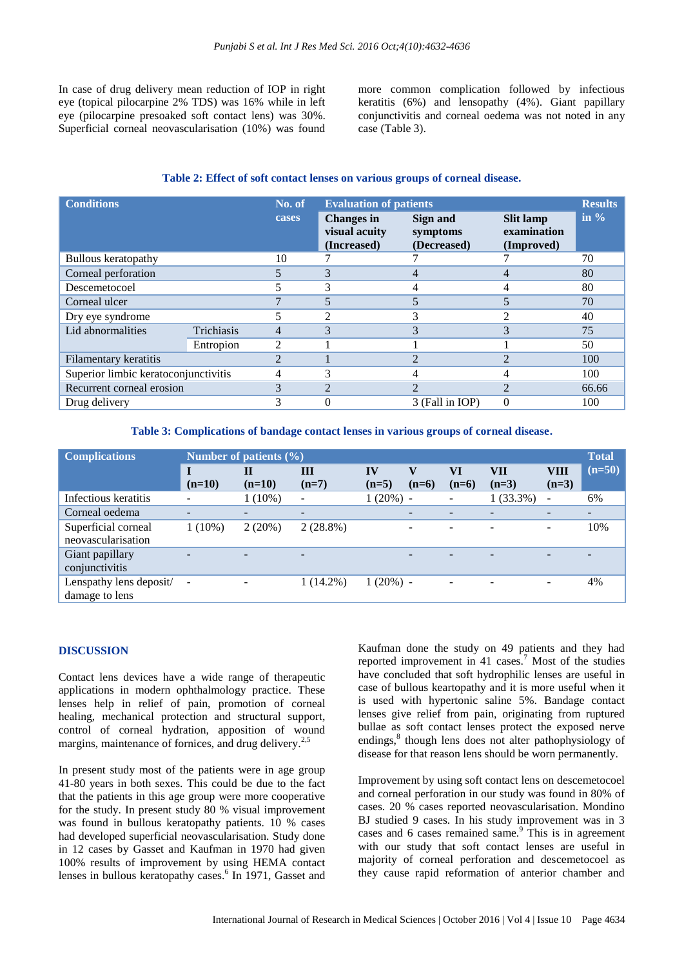In case of drug delivery mean reduction of IOP in right eye (topical pilocarpine 2% TDS) was 16% while in left eye (pilocarpine presoaked soft contact lens) was 30%. Superficial corneal neovascularisation (10%) was found more common complication followed by infectious keratitis (6%) and lensopathy (4%). Giant papillary conjunctivitis and corneal oedema was not noted in any case (Table 3).

#### **Table 2: Effect of soft contact lenses on various groups of corneal disease.**

| <b>Conditions</b>                    |            | No. of         | <b>Evaluation of patients</b>                     |                                     |                                               |         |
|--------------------------------------|------------|----------------|---------------------------------------------------|-------------------------------------|-----------------------------------------------|---------|
|                                      |            | cases          | <b>Changes</b> in<br>visual acuity<br>(Increased) | Sign and<br>symptoms<br>(Decreased) | <b>Slit lamp</b><br>examination<br>(Improved) | in $\%$ |
| <b>Bullous</b> keratopathy           | 10         |                |                                                   |                                     | 70                                            |         |
| Corneal perforation                  | 5          | 3              |                                                   |                                     | 80                                            |         |
| Descemetocoel                        |            | 3              |                                                   |                                     | 80                                            |         |
| Corneal ulcer                        |            | 5              |                                                   |                                     | 70                                            |         |
| Dry eye syndrome                     | 5          | $\mathfrak{D}$ |                                                   |                                     | 40                                            |         |
| Lid abnormalities                    | Trichiasis | $\overline{4}$ | 3                                                 |                                     |                                               | 75      |
|                                      | Entropion  | 2              |                                                   |                                     |                                               | 50      |
| Filamentary keratitis                |            | $\mathfrak{D}$ |                                                   | 2                                   |                                               | 100     |
| Superior limbic keratoconjunctivitis | 4          | 3              |                                                   |                                     | 100                                           |         |
| Recurrent corneal erosion            | 3          | $\mathfrak{D}$ | $\mathcal{L}$                                     | 2                                   | 66.66                                         |         |
| Drug delivery                        |            | 3              |                                                   | 3 (Fall in IOP)                     | 0                                             | 100     |

**Table 3: Complications of bandage contact lenses in various groups of corneal disease.**

| <b>Complications</b>                      | Number of patients $(\% )$ |                          |                          |               |                          |               |                | <b>Total</b>             |          |
|-------------------------------------------|----------------------------|--------------------------|--------------------------|---------------|--------------------------|---------------|----------------|--------------------------|----------|
|                                           | T<br>$(n=10)$              | П<br>$(n=10)$            | Ш<br>$(n=7)$             | IV<br>$(n=5)$ | V<br>$(n=6)$             | VI<br>$(n=6)$ | VII<br>$(n=3)$ | VIII<br>$(n=3)$          | $(n=50)$ |
| Infectious keratitis                      |                            | $1(10\%)$                | $\overline{\phantom{a}}$ | $1(20\%) -$   |                          |               | $1(33.3\%)$    | $\overline{\phantom{a}}$ | 6%       |
| Corneal oedema                            |                            | $\overline{\phantom{a}}$ | $\overline{\phantom{a}}$ |               | $\overline{\phantom{0}}$ |               |                |                          |          |
| Superficial corneal<br>neovascularisation | $1(10\%)$                  | 2(20%)                   | $2(28.8\%)$              |               | $\overline{\phantom{a}}$ |               |                | $\overline{\phantom{0}}$ | 10%      |
| Giant papillary<br>conjunctivitis         |                            | $\overline{\phantom{0}}$ | $\overline{\phantom{0}}$ |               |                          |               |                |                          |          |
| Lenspathy lens deposit/<br>damage to lens | $\qquad \qquad -$          |                          | $1(14.2\%)$              | $1(20\%)$ -   |                          |               |                | $\overline{\phantom{a}}$ | 4%       |

# **DISCUSSION**

Contact lens devices have a wide range of therapeutic applications in modern ophthalmology practice. These lenses help in relief of pain, promotion of corneal healing, mechanical protection and structural support, control of corneal hydration, apposition of wound margins, maintenance of fornices, and drug delivery.<sup>2,5</sup>

In present study most of the patients were in age group 41-80 years in both sexes. This could be due to the fact that the patients in this age group were more cooperative for the study. In present study 80 % visual improvement was found in bullous keratopathy patients. 10 % cases had developed superficial neovascularisation. Study done in 12 cases by Gasset and Kaufman in 1970 had given 100% results of improvement by using HEMA contact lenses in bullous keratopathy cases.<sup>6</sup> In 1971, Gasset and Kaufman done the study on 49 patients and they had reported improvement in 41 cases.<sup>7</sup> Most of the studies have concluded that soft hydrophilic lenses are useful in case of bullous keartopathy and it is more useful when it is used with hypertonic saline 5%. Bandage contact lenses give relief from pain, originating from ruptured bullae as soft contact lenses protect the exposed nerve endings,<sup>8</sup> though lens does not alter pathophysiology of disease for that reason lens should be worn permanently.

Improvement by using soft contact lens on descemetocoel and corneal perforation in our study was found in 80% of cases. 20 % cases reported neovascularisation. Mondino BJ studied 9 cases. In his study improvement was in 3 cases and 6 cases remained same.<sup>9</sup> This is in agreement with our study that soft contact lenses are useful in majority of corneal perforation and descemetocoel as they cause rapid reformation of anterior chamber and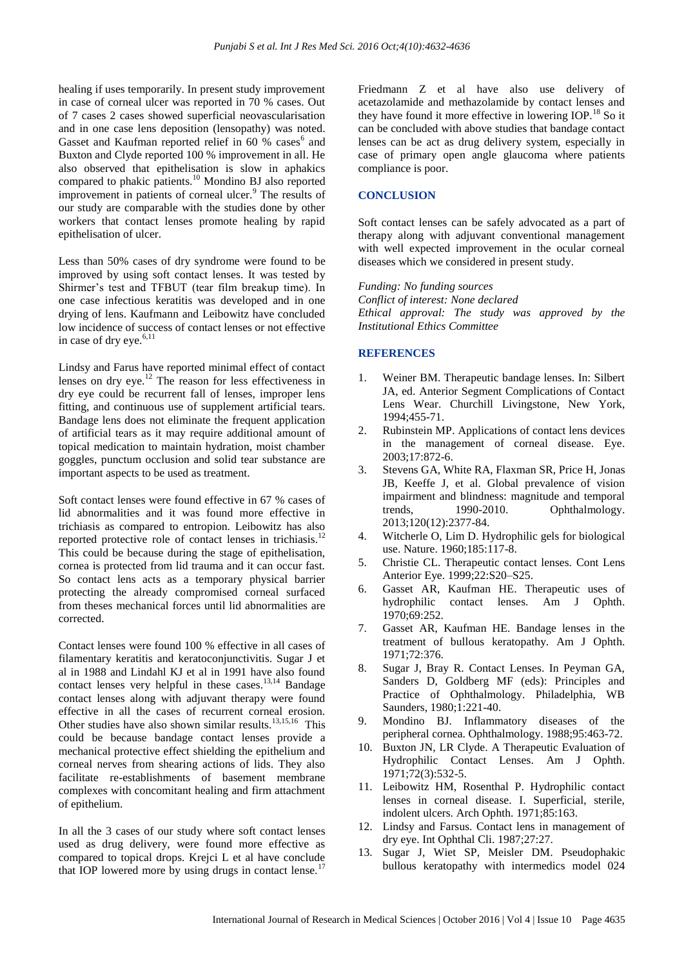healing if uses temporarily. In present study improvement in case of corneal ulcer was reported in 70 % cases. Out of 7 cases 2 cases showed superficial neovascularisation and in one case lens deposition (lensopathy) was noted. Gasset and Kaufman reported relief in 60 % cases<sup>6</sup> and Buxton and Clyde reported 100 % improvement in all. He also observed that epithelisation is slow in aphakics compared to phakic patients.<sup>10</sup> Mondino BJ also reported improvement in patients of corneal ulcer.<sup>9</sup> The results of our study are comparable with the studies done by other workers that contact lenses promote healing by rapid epithelisation of ulcer.

Less than 50% cases of dry syndrome were found to be improved by using soft contact lenses. It was tested by Shirmer's test and TFBUT (tear film breakup time). In one case infectious keratitis was developed and in one drying of lens. Kaufmann and Leibowitz have concluded low incidence of success of contact lenses or not effective in case of dry eye.<sup>6,11</sup>

Lindsy and Farus have reported minimal effect of contact lenses on dry eye.<sup>12</sup> The reason for less effectiveness in dry eye could be recurrent fall of lenses, improper lens fitting, and continuous use of supplement artificial tears. Bandage lens does not eliminate the frequent application of artificial tears as it may require additional amount of topical medication to maintain hydration, moist chamber goggles, punctum occlusion and solid tear substance are important aspects to be used as treatment.

Soft contact lenses were found effective in 67 % cases of lid abnormalities and it was found more effective in trichiasis as compared to entropion. Leibowitz has also reported protective role of contact lenses in trichiasis.<sup>12</sup> This could be because during the stage of epithelisation, cornea is protected from lid trauma and it can occur fast. So contact lens acts as a temporary physical barrier protecting the already compromised corneal surfaced from theses mechanical forces until lid abnormalities are corrected.

Contact lenses were found 100 % effective in all cases of filamentary keratitis and keratoconjunctivitis. Sugar J et al in 1988 and Lindahl KJ et al in 1991 have also found contact lenses very helpful in these cases. $13,14$  Bandage contact lenses along with adjuvant therapy were found effective in all the cases of recurrent corneal erosion. Other studies have also shown similar results.<sup>13,15,16</sup> This could be because bandage contact lenses provide a mechanical protective effect shielding the epithelium and corneal nerves from shearing actions of lids. They also facilitate re-establishments of basement membrane complexes with concomitant healing and firm attachment of epithelium.

In all the 3 cases of our study where soft contact lenses used as drug delivery, were found more effective as compared to topical drops. Krejci L et al have conclude that IOP lowered more by using drugs in contact lense.<sup>17</sup>

Friedmann Z et al have also use delivery of acetazolamide and methazolamide by contact lenses and they have found it more effective in lowering IOP.<sup>18</sup> So it can be concluded with above studies that bandage contact lenses can be act as drug delivery system, especially in case of primary open angle glaucoma where patients compliance is poor.

### **CONCLUSION**

Soft contact lenses can be safely advocated as a part of therapy along with adjuvant conventional management with well expected improvement in the ocular corneal diseases which we considered in present study.

*Funding: No funding sources Conflict of interest: None declared Ethical approval: The study was approved by the Institutional Ethics Committee*

## **REFERENCES**

- 1. Weiner BM. Therapeutic bandage lenses. In: Silbert JA, ed. Anterior Segment Complications of Contact Lens Wear. Churchill Livingstone, New York, 1994;455-71.
- 2. Rubinstein MP. Applications of contact lens devices in the management of corneal disease. Eye. 2003;17:872-6.
- 3. Stevens GA, White RA, Flaxman SR, Price H, Jonas JB, Keeffe J, et al. Global prevalence of vision impairment and blindness: magnitude and temporal trends, 1990-2010. Ophthalmology. 2013;120(12):2377-84.
- 4. Witcherle O, Lim D. Hydrophilic gels for biological use. Nature. 1960;185:117-8.
- 5. Christie CL. Therapeutic contact lenses. Cont Lens Anterior Eye. 1999;22:S20–S25.
- 6. Gasset AR, Kaufman HE. Therapeutic uses of hydrophilic contact lenses. Am J Ophth. 1970;69:252.
- 7. Gasset AR, Kaufman HE. Bandage lenses in the treatment of bullous keratopathy. Am J Ophth. 1971;72:376.
- 8. Sugar J, Bray R. Contact Lenses. In Peyman GA, Sanders D, Goldberg MF (eds): Principles and Practice of Ophthalmology. Philadelphia, WB Saunders, 1980;1:221-40.
- 9. Mondino BJ. Inflammatory diseases of the peripheral cornea. Ophthalmology. 1988;95:463-72.
- 10. Buxton JN, LR Clyde. A Therapeutic Evaluation of Hydrophilic Contact Lenses. Am J Ophth. 1971;72(3):532-5.
- 11. Leibowitz HM, Rosenthal P. Hydrophilic contact lenses in corneal disease. I. Superficial, sterile, indolent ulcers. Arch Ophth. 1971;85:163.
- 12. Lindsy and Farsus. Contact lens in management of dry eye. Int Ophthal Cli. 1987;27:27.
- 13. Sugar J, Wiet SP, Meisler DM. Pseudophakic bullous keratopathy with intermedics model 024